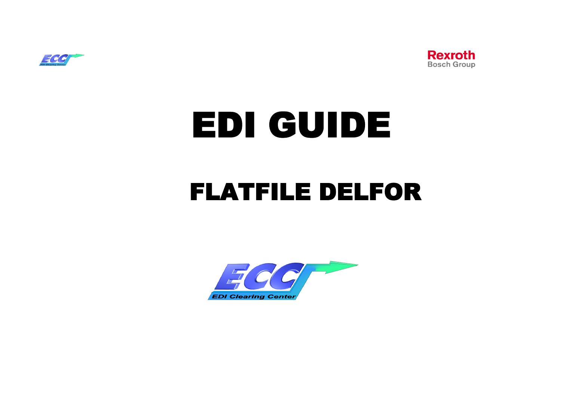



# EDI GUIDE

# FLATFILE DELFOR

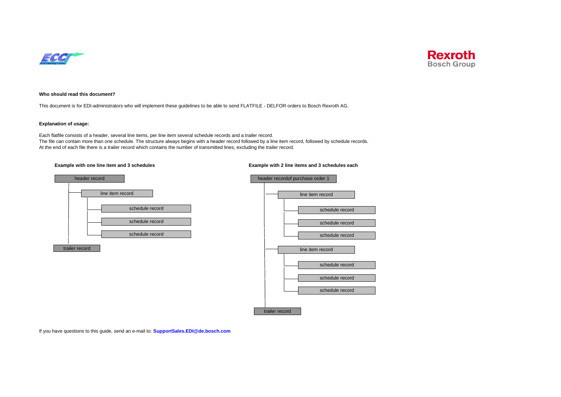



#### **Who should read this document?**

This document is for EDI-administrators who will implement these guidelines to be able to send FLATFILE - DELFOR orders to Bosch Rexroth AG.

#### **Explanation of usage:**

Each flatfile consists of a header, several line items, per line item several schedule records and a trailer record. The file can contain more than one schedule. The structure always begins with a header record followed by a line item record, followed by schedule records. At the end of each file there is a trailer record which contains the number of transmitted lines, excluding the trailer record.





#### **Example with one line item and 3 schedules Example with 2 line items and 3 schedules each**



If you have questions to this guide, send an e-mail to: **SupportSales.EDI@de.bosch.com**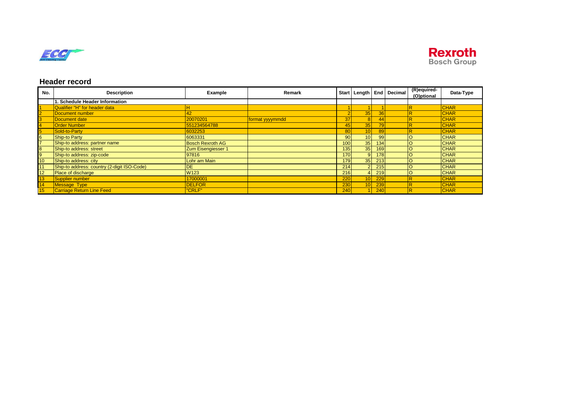



# **Header record**

| No.                     | <b>Description</b>                          | Example                 | Remark          |                 |                 |                 | Start   Length   End   Decimal | (R)equired-<br>(O)ptional | Data-Type   |
|-------------------------|---------------------------------------------|-------------------------|-----------------|-----------------|-----------------|-----------------|--------------------------------|---------------------------|-------------|
|                         | 1. Schedule Header Information              |                         |                 |                 |                 |                 |                                |                           |             |
| $\vert$ 1               | Qualifier "H" for header data               |                         |                 |                 |                 |                 |                                |                           | <b>CHAR</b> |
| $\overline{2}$          | Document number                             | 42                      |                 |                 | 35              | 36              |                                |                           | <b>CHAR</b> |
| $\overline{3}$          | Document date                               | 20070201                | format yyyymmdd | 37              | 8 <sup>1</sup>  | 44              |                                |                           | <b>CHAR</b> |
| $\overline{4}$          | <b>Order Number</b>                         | 551234564788            |                 | 45              | 35              | 79 <sub>l</sub> |                                |                           | <b>CHAR</b> |
| $\overline{\mathbf{5}}$ | Sold-to-Party                               | 6032253                 |                 | 80              | 10 <sub>h</sub> | 89              |                                |                           | <b>CHAR</b> |
| $6\overline{6}$         | Ship-to Party                               | 6063331                 |                 | 90 <sup>1</sup> | 10              | 99              |                                |                           | <b>CHAR</b> |
| $\overline{7}$          | Ship-to address: partner name               | <b>Bosch Rexroth AG</b> |                 | 100             | 35              | 134             |                                |                           | <b>CHAR</b> |
| $\overline{\mathbf{8}}$ | Ship-to address: street                     | Zum Eisengiesser 1      |                 | 135             | 35              | 169             |                                |                           | <b>CHAR</b> |
| 9                       | Ship-to address: zip-code                   | 97816                   |                 | 170             | 9               | 178             |                                | lO                        | <b>CHAR</b> |
| 10                      | Ship-to address: city                       | Lohr am Main            |                 | 179             | 35              | 213             |                                |                           | <b>CHAR</b> |
| 11                      | Ship-to address: country (2-digit ISO-Code) | <b>DE</b>               |                 | 214             | $\overline{2}$  | 215             |                                |                           | <b>CHAR</b> |
| 12                      | <b>Place of discharge</b>                   | W <sub>123</sub>        |                 | 216             |                 | 219             |                                | lo                        | <b>CHAR</b> |
| 13                      | Supplier number                             | 17000001                |                 | 220             | 10 <sup>1</sup> | 229             |                                |                           | <b>CHAR</b> |
| 14                      | Message Type                                | <b>DELFOR</b>           |                 | 230             | 10 <sub>h</sub> | 239             |                                | R                         | <b>CHAR</b> |
| 15                      | <b>Carriage Return Line Feed</b>            | "CRLF"                  |                 | 240             |                 | 240             |                                |                           | <b>CHAR</b> |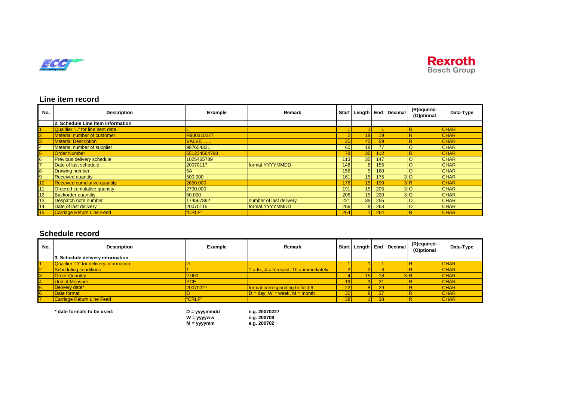



# **Line item record**

| No.                     | <b>Description</b>                  | Example      | Remark                  |                 |                 |     | Start   Length   End   Decimal | (R)equired-<br>(O)ptional | Data-Type   |
|-------------------------|-------------------------------------|--------------|-------------------------|-----------------|-----------------|-----|--------------------------------|---------------------------|-------------|
|                         | 2. Schedule Line item information   |              |                         |                 |                 |     |                                |                           |             |
| $\overline{1}$          | Qualifier "L" for line item data    |              |                         |                 |                 |     |                                |                           | <b>CHAR</b> |
| $\overline{2}$          | Material number of customer         | R900310277   |                         | 2 <sup>1</sup>  | 18              |     |                                |                           | <b>CHAR</b> |
| $\overline{3}$          | <b>Material Description</b>         | VALVE        |                         | 20 <sup>1</sup> | 40              | 59  |                                |                           | <b>CHAR</b> |
| $\overline{4}$          | Material number of supplier         | 987654321    |                         | 60              | 18 <sup>l</sup> | 77  |                                | $\circ$                   | <b>CHAR</b> |
| $\overline{\mathbf{5}}$ | <b>Order Number</b>                 | 551234564788 |                         | <b>78</b>       | 35              | 112 |                                |                           | <b>CHAR</b> |
| $6\overline{6}$         | <b>Previous delivery schedule</b>   | 1025465789   |                         | 113             | 35              | 147 |                                |                           | <b>CHAR</b> |
| $\overline{7}$          | Date of last schedule               | 20070117     | format YYYYMMDD         | 148             | 8               | 155 |                                |                           | <b>CHAR</b> |
| $\overline{\mathbf{8}}$ | <b>Drawing number</b>               | <b>5A</b>    |                         | 156             | 5               | 160 |                                | $\circ$                   | <b>CHAR</b> |
| 9                       | <b>Received quantity</b>            | 500.000      |                         | 161             | 15              | 175 | 3 <sup>o</sup>                 |                           | <b>CHAR</b> |
| 10                      | <b>Received cumulative quantity</b> | 2650.000     |                         | 176             | 15 <sup>1</sup> | 190 | 3R                             |                           | <b>CHAR</b> |
| 11                      | Ordered cumulative quantity         | 2700.000     |                         | 191             | 15              | 205 | 3 <sup>o</sup>                 |                           | <b>CHAR</b> |
| 12                      | <b>Backorder quantitiy</b>          | 50.000       |                         | 206             | 15              | 220 | 3 <sup>o</sup>                 |                           | <b>CHAR</b> |
| 13                      | Despatch note number                | 174567892    | number of last delivery | 221             | 35              | 255 |                                |                           | <b>CHAR</b> |
| 14                      | Date of last delivery               | 20070115     | format YYYYMMDD         | 256             | 8               | 263 |                                | $\circ$                   | <b>CHAR</b> |
| 15                      | <b>Carriage Return Line Feed</b>    | "CRLF"       |                         | 264             |                 | 264 |                                |                           | <b>CHAR</b> |

# **Schedule record**

| No. | <b>Description</b>                     | Example    | Remark                                          |                 |                 |                 | Start   Length   End   Decimal | (R)equired-<br>(O)ptional | Data-Type   |
|-----|----------------------------------------|------------|-------------------------------------------------|-----------------|-----------------|-----------------|--------------------------------|---------------------------|-------------|
|     | 3. Schedule delivery information       |            |                                                 |                 |                 |                 |                                |                           |             |
|     | Qualifier "D" for delivery information |            |                                                 |                 |                 |                 |                                |                           | <b>CHAR</b> |
|     | Scheduling conditions                  |            | $1 = fix$ , $4 = forecast$ , $10 = immediately$ |                 |                 |                 |                                |                           | <b>CHAR</b> |
|     | <b>Order Quantity</b>                  | 2.000      |                                                 |                 | 15 <sub>h</sub> |                 | 3R                             |                           | <b>CHAR</b> |
|     | Unit of Measure                        | <b>PCE</b> |                                                 | 19              |                 | 21              |                                |                           | <b>CHAR</b> |
|     | Delivery date*                         | 20070227   | format corresponding to field 6                 | ∠∠              |                 | 29              |                                |                           | <b>CHAR</b> |
|     | Date format                            |            | $D = day$ , $W = week$ , $M = month$            |                 |                 | 37              |                                |                           | <b>CHAR</b> |
|     | Carriage Return Line Feed              | "CRLF"     |                                                 | 38 <sub>l</sub> |                 | 38 <sup>1</sup> |                                |                           | <b>CHAR</b> |

**\* date formats to be used: D = yyyymmdd e.g. 20070227 W = yyyyww e.g. 200709 M = yyyymm e.g. 200702**